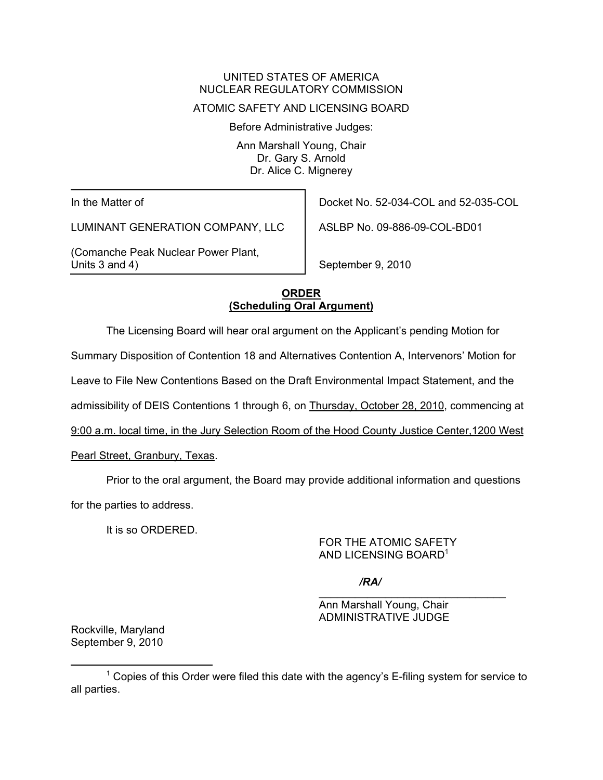# UNITED STATES OF AMERICA NUCLEAR REGULATORY COMMISSION

### ATOMIC SAFETY AND LICENSING BOARD

Before Administrative Judges:

Ann Marshall Young, Chair Dr. Gary S. Arnold Dr. Alice C. Mignerey

In the Matter of

LUMINANT GENERATION COMPANY, LLC

(Comanche Peak Nuclear Power Plant, Units 3 and 4)

Docket No. 52-034-COL and 52-035-COL

ASLBP No. 09-886-09-COL-BD01

September 9, 2010

## **ORDER (Scheduling Oral Argument)**

The Licensing Board will hear oral argument on the Applicant's pending Motion for

Summary Disposition of Contention 18 and Alternatives Contention A, Intervenors' Motion for

Leave to File New Contentions Based on the Draft Environmental Impact Statement, and the

admissibility of DEIS Contentions 1 through 6, on Thursday, October 28, 2010, commencing at

9:00 a.m. local time, in the Jury Selection Room of the Hood County Justice Center,1200 West

Pearl Street, Granbury, Texas.

Prior to the oral argument, the Board may provide additional information and questions

for the parties to address.

It is so ORDERED.

FOR THE ATOMIC SAFETY AND LICENSING BOARD<sup>1</sup>

 $\overline{\phantom{a}}$  , and the contract of the contract of the contract of the contract of the contract of the contract of the contract of the contract of the contract of the contract of the contract of the contract of the contrac */RA/*

> Ann Marshall Young, Chair ADMINISTRATIVE JUDGE

Rockville, Maryland September 9, 2010

 $\overline{\phantom{a}}$  1  $1$  Copies of this Order were filed this date with the agency's E-filing system for service to all parties.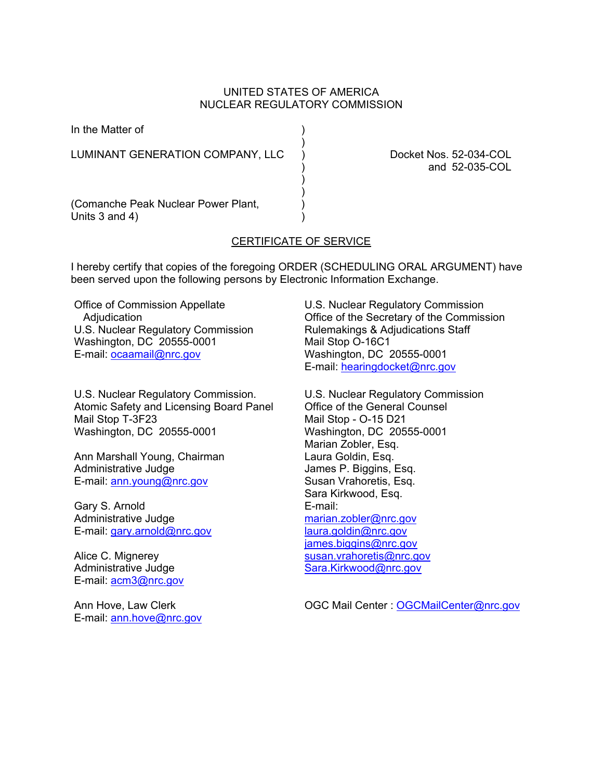### UNITED STATES OF AMERICA NUCLEAR REGULATORY COMMISSION

)

In the Matter of (1)

LUMINANT GENERATION COMPANY, LLC ) Docket Nos. 52-034-COL

 $)$ ) and the contract of  $\mathcal{L}$ 

) and 52-035-COL

(Comanche Peak Nuclear Power Plant, ) Units  $3$  and  $4$ )

### CERTIFICATE OF SERVICE

I hereby certify that copies of the foregoing ORDER (SCHEDULING ORAL ARGUMENT) have been served upon the following persons by Electronic Information Exchange.

Office of Commission Appellate **Adjudication** U.S. Nuclear Regulatory Commission Washington, DC 20555-0001 E-mail: ocaamail@nrc.gov

U.S. Nuclear Regulatory Commission. Atomic Safety and Licensing Board Panel Mail Stop T-3F23 Washington, DC 20555-0001

Ann Marshall Young, Chairman Administrative Judge E-mail: ann.young@nrc.gov

Gary S. Arnold Administrative Judge E-mail: gary.arnold@nrc.gov

Alice C. Mignerey Administrative Judge E-mail: acm3@nrc.gov

Ann Hove, Law Clerk E-mail: ann.hove@nrc.gov

U.S. Nuclear Regulatory Commission Office of the Secretary of the Commission Rulemakings & Adjudications Staff Mail Stop O-16C1 Washington, DC 20555-0001 E-mail: hearingdocket@nrc.gov

U.S. Nuclear Regulatory Commission Office of the General Counsel Mail Stop - O-15 D21 Washington, DC 20555-0001 Marian Zobler, Esq. Laura Goldin, Esq. James P. Biggins, Esq. Susan Vrahoretis, Esq. Sara Kirkwood, Esq. E-mail: marian.zobler@nrc.gov laura.goldin@nrc.gov james.biggins@nrc.gov susan.vrahoretis@nrc.gov Sara.Kirkwood@nrc.gov

OGC Mail Center : OGCMailCenter@nrc.gov